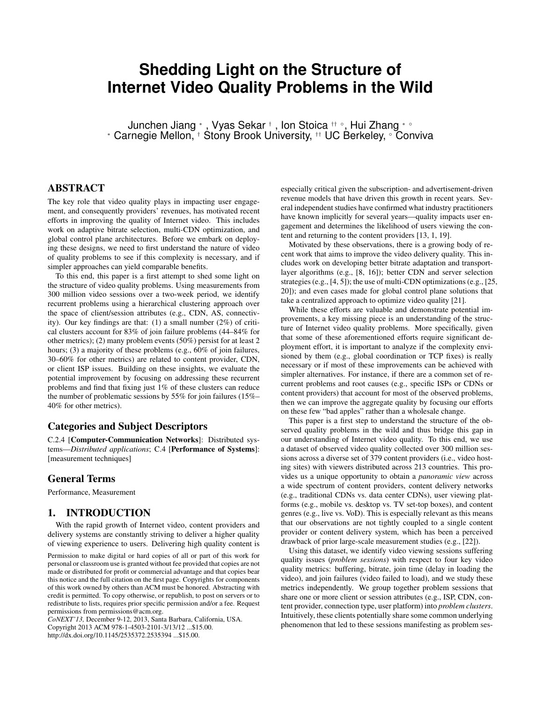# **Shedding Light on the Structure of Internet Video Quality Problems in the Wild**

Junchen Jiang <sup>∗</sup> , Vyas Sekar † , Ion Stoica †† ◦, Hui Zhang ∗ ◦ <sup>∗</sup> Carnegie Mellon, † Stony Brook University, †† UC Berkeley, ◦ Conviva

## ABSTRACT

The key role that video quality plays in impacting user engagement, and consequently providers' revenues, has motivated recent efforts in improving the quality of Internet video. This includes work on adaptive bitrate selection, multi-CDN optimization, and global control plane architectures. Before we embark on deploying these designs, we need to first understand the nature of video of quality problems to see if this complexity is necessary, and if simpler approaches can yield comparable benefits.

To this end, this paper is a first attempt to shed some light on the structure of video quality problems. Using measurements from 300 million video sessions over a two-week period, we identify recurrent problems using a hierarchical clustering approach over the space of client/session attributes (e.g., CDN, AS, connectivity). Our key findings are that: (1) a small number (2%) of critical clusters account for 83% of join failure problems (44–84% for other metrics); (2) many problem events (50%) persist for at least 2 hours; (3) a majority of these problems (e.g., 60% of join failures, 30–60% for other metrics) are related to content provider, CDN, or client ISP issues. Building on these insights, we evaluate the potential improvement by focusing on addressing these recurrent problems and find that fixing just 1% of these clusters can reduce the number of problematic sessions by 55% for join failures (15%– 40% for other metrics).

#### Categories and Subject Descriptors

C.2.4 [Computer-Communication Networks]: Distributed systems—*Distributed applications*; C.4 [Performance of Systems]: [measurement techniques]

#### General Terms

Performance, Measurement

## 1. INTRODUCTION

With the rapid growth of Internet video, content providers and delivery systems are constantly striving to deliver a higher quality of viewing experience to users. Delivering high quality content is

Permission to make digital or hard copies of all or part of this work for personal or classroom use is granted without fee provided that copies are not made or distributed for profit or commercial advantage and that copies bear this notice and the full citation on the first page. Copyrights for components of this work owned by others than ACM must be honored. Abstracting with credit is permitted. To copy otherwise, or republish, to post on servers or to redistribute to lists, requires prior specific permission and/or a fee. Request permissions from permissions@acm.org.

*CoNEXT'13,* December 9-12, 2013, Santa Barbara, California, USA. Copyright 2013 ACM 978-1-4503-2101-3/13/12 ...\$15.00. http://dx.doi.org/10.1145/2535372.2535394 ...\$15.00.

especially critical given the subscription- and advertisement-driven revenue models that have driven this growth in recent years. Several independent studies have confirmed what industry practitioners have known implicitly for several years—quality impacts user engagement and determines the likelihood of users viewing the content and returning to the content providers [13, 1, 19].

Motivated by these observations, there is a growing body of recent work that aims to improve the video delivery quality. This includes work on developing better bitrate adaptation and transportlayer algorithms (e.g., [8, 16]); better CDN and server selection strategies (e.g., [4, 5]); the use of multi-CDN optimizations (e.g., [25, 20]); and even cases made for global control plane solutions that take a centralized approach to optimize video quality [21].

While these efforts are valuable and demonstrate potential improvements, a key missing piece is an understanding of the structure of Internet video quality problems. More specifically, given that some of these aforementioned efforts require significant deployment effort, it is important to analyze if the complexity envisioned by them (e.g., global coordination or TCP fixes) is really necessary or if most of these improvements can be achieved with simpler alternatives. For instance, if there are a common set of recurrent problems and root causes (e.g., specific ISPs or CDNs or content providers) that account for most of the observed problems, then we can improve the aggregate quality by focusing our efforts on these few "bad apples" rather than a wholesale change.

This paper is a first step to understand the structure of the observed quality problems in the wild and thus bridge this gap in our understanding of Internet video quality. To this end, we use a dataset of observed video quality collected over 300 million sessions across a diverse set of 379 content providers (i.e., video hosting sites) with viewers distributed across 213 countries. This provides us a unique opportunity to obtain a *panoramic view* across a wide spectrum of content providers, content delivery networks (e.g., traditional CDNs vs. data center CDNs), user viewing platforms (e.g., mobile vs. desktop vs. TV set-top boxes), and content genres (e.g., live vs. VoD). This is especially relevant as this means that our observations are not tightly coupled to a single content provider or content delivery system, which has been a perceived drawback of prior large-scale measurement studies (e.g., [22]).

Using this dataset, we identify video viewing sessions suffering quality issues (*problem sessions*) with respect to four key video quality metrics: buffering, bitrate, join time (delay in loading the video), and join failures (video failed to load), and we study these metrics independently. We group together problem sessions that share one or more client or session attributes (e.g., ISP, CDN, content provider, connection type, user platform) into *problem clusters*. Intuitively, these clients potentially share some common underlying phenomenon that led to these sessions manifesting as problem ses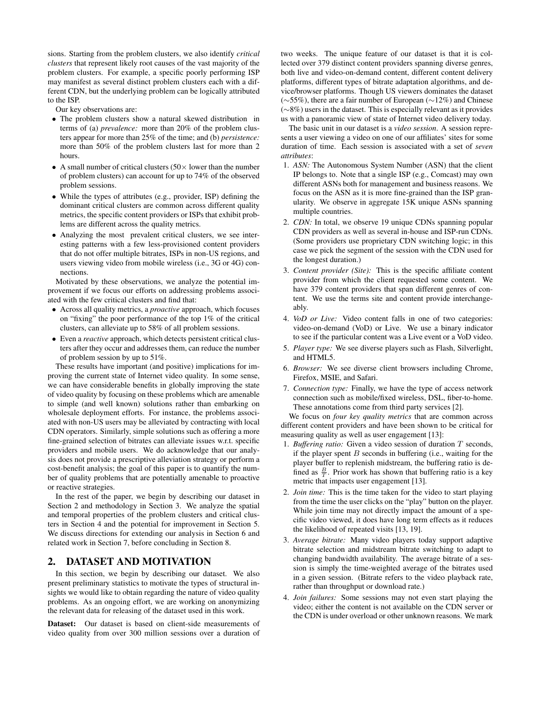sions. Starting from the problem clusters, we also identify *critical clusters* that represent likely root causes of the vast majority of the problem clusters. For example, a specific poorly performing ISP may manifest as several distinct problem clusters each with a different CDN, but the underlying problem can be logically attributed to the ISP.

Our key observations are:

- The problem clusters show a natural skewed distribution in terms of (a) *prevalence:* more than 20% of the problem clusters appear for more than 25% of the time; and (b) *persistence:* more than 50% of the problem clusters last for more than 2 hours.
- A small number of critical clusters ( $50\times$  lower than the number of problem clusters) can account for up to 74% of the observed problem sessions.
- While the types of attributes (e.g., provider, ISP) defining the dominant critical clusters are common across different quality metrics, the specific content providers or ISPs that exhibit problems are different across the quality metrics.
- Analyzing the most prevalent critical clusters, we see interesting patterns with a few less-provisioned content providers that do not offer multiple bitrates, ISPs in non-US regions, and users viewing video from mobile wireless (i.e., 3G or 4G) connections.

Motivated by these observations, we analyze the potential improvement if we focus our efforts on addressing problems associated with the few critical clusters and find that:

- Across all quality metrics, a *proactive* approach, which focuses on "fixing" the poor performance of the top 1% of the critical clusters, can alleviate up to 58% of all problem sessions.
- Even a *reactive* approach, which detects persistent critical clusters after they occur and addresses them, can reduce the number of problem session by up to 51%.

These results have important (and positive) implications for improving the current state of Internet video quality. In some sense, we can have considerable benefits in globally improving the state of video quality by focusing on these problems which are amenable to simple (and well known) solutions rather than embarking on wholesale deployment efforts. For instance, the problems associated with non-US users may be alleviated by contracting with local CDN operators. Similarly, simple solutions such as offering a more fine-grained selection of bitrates can alleviate issues w.r.t. specific providers and mobile users. We do acknowledge that our analysis does not provide a prescriptive alleviation strategy or perform a cost-benefit analysis; the goal of this paper is to quantify the number of quality problems that are potentially amenable to proactive or reactive strategies.

In the rest of the paper, we begin by describing our dataset in Section 2 and methodology in Section 3. We analyze the spatial and temporal properties of the problem clusters and critical clusters in Section 4 and the potential for improvement in Section 5. We discuss directions for extending our analysis in Section 6 and related work in Section 7, before concluding in Section 8.

#### 2. DATASET AND MOTIVATION

In this section, we begin by describing our dataset. We also present preliminary statistics to motivate the types of structural insights we would like to obtain regarding the nature of video quality problems. As an ongoing effort, we are working on anonymizing the relevant data for releasing of the dataset used in this work.

Dataset: Our dataset is based on client-side measurements of video quality from over 300 million sessions over a duration of two weeks. The unique feature of our dataset is that it is collected over 379 distinct content providers spanning diverse genres, both live and video-on-demand content, different content delivery platforms, different types of bitrate adaptation algorithms, and device/browser platforms. Though US viewers dominates the dataset (∼55%), there are a fair number of European (∼12%) and Chinese (∼8%) users in the dataset. This is especially relevant as it provides us with a panoramic view of state of Internet video delivery today.

The basic unit in our dataset is a *video session*. A session represents a user viewing a video on one of our affiliates' sites for some duration of time. Each session is associated with a set of *seven attributes*:

- 1. *ASN:* The Autonomous System Number (ASN) that the client IP belongs to. Note that a single ISP (e.g., Comcast) may own different ASNs both for management and business reasons. We focus on the ASN as it is more fine-grained than the ISP granularity. We observe in aggregate 15K unique ASNs spanning multiple countries.
- 2. *CDN:* In total, we observe 19 unique CDNs spanning popular CDN providers as well as several in-house and ISP-run CDNs. (Some providers use proprietary CDN switching logic; in this case we pick the segment of the session with the CDN used for the longest duration.)
- 3. *Content provider (Site):* This is the specific affiliate content provider from which the client requested some content. We have 379 content providers that span different genres of content. We use the terms site and content provide interchangeably.
- 4. *VoD or Live:* Video content falls in one of two categories: video-on-demand (VoD) or Live. We use a binary indicator to see if the particular content was a Live event or a VoD video.
- 5. *Player type:* We see diverse players such as Flash, Silverlight, and HTML5.
- 6. *Browser:* We see diverse client browsers including Chrome, Firefox, MSIE, and Safari.
- 7. *Connection type:* Finally, we have the type of access network connection such as mobile/fixed wireless, DSL, fiber-to-home. These annotations come from third party services [2].

We focus on *four key quality metrics* that are common across different content providers and have been shown to be critical for measuring quality as well as user engagement [13]:

- 1. *Buffering ratio:* Given a video session of duration T seconds, if the player spent  $B$  seconds in buffering (i.e., waiting for the player buffer to replenish midstream, the buffering ratio is defined as  $\frac{B}{T}$ . Prior work has shown that buffering ratio is a key metric that impacts user engagement [13].
- 2. *Join time:* This is the time taken for the video to start playing from the time the user clicks on the "play" button on the player. While join time may not directly impact the amount of a specific video viewed, it does have long term effects as it reduces the likelihood of repeated visits [13, 19].
- 3. *Average bitrate:* Many video players today support adaptive bitrate selection and midstream bitrate switching to adapt to changing bandwidth availability. The average bitrate of a session is simply the time-weighted average of the bitrates used in a given session. (Bitrate refers to the video playback rate, rather than throughput or download rate.)
- 4. *Join failures:* Some sessions may not even start playing the video; either the content is not available on the CDN server or the CDN is under overload or other unknown reasons. We mark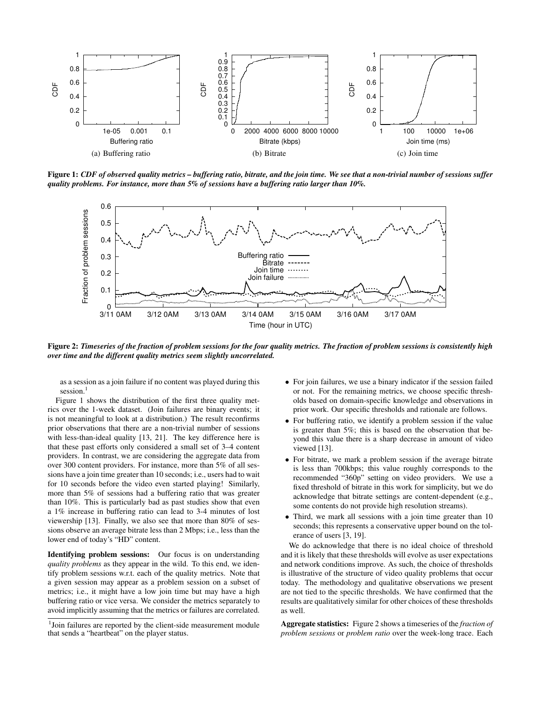

Figure 1: *CDF of observed quality metrics – buffering ratio, bitrate, and the join time. We see that a non-trivial number of sessions suffer quality problems. For instance, more than 5% of sessions have a buffering ratio larger than 10%.*



Figure 2: *Timeseries of the fraction of problem sessions for the four quality metrics. The fraction of problem sessions is consistently high over time and the different quality metrics seem slightly uncorrelated.*

as a session as a join failure if no content was played during this session.<sup>1</sup>

Figure 1 shows the distribution of the first three quality metrics over the 1-week dataset. (Join failures are binary events; it is not meaningful to look at a distribution.) The result reconfirms prior observations that there are a non-trivial number of sessions with less-than-ideal quality [13, 21]. The key difference here is that these past efforts only considered a small set of 3–4 content providers. In contrast, we are considering the aggregate data from over 300 content providers. For instance, more than 5% of all sessions have a join time greater than 10 seconds; i.e., users had to wait for 10 seconds before the video even started playing! Similarly, more than 5% of sessions had a buffering ratio that was greater than 10%. This is particularly bad as past studies show that even a 1% increase in buffering ratio can lead to 3-4 minutes of lost viewership [13]. Finally, we also see that more than 80% of sessions observe an average bitrate less than 2 Mbps; i.e., less than the lower end of today's "HD" content.

Identifying problem sessions: Our focus is on understanding *quality problems* as they appear in the wild. To this end, we identify problem sessions w.r.t. each of the quality metrics. Note that a given session may appear as a problem session on a subset of metrics; i.e., it might have a low join time but may have a high buffering ratio or vice versa. We consider the metrics separately to avoid implicitly assuming that the metrics or failures are correlated.

- For join failures, we use a binary indicator if the session failed or not. For the remaining metrics, we choose specific thresholds based on domain-specific knowledge and observations in prior work. Our specific thresholds and rationale are follows.
- For buffering ratio, we identify a problem session if the value is greater than 5%; this is based on the observation that beyond this value there is a sharp decrease in amount of video viewed [13].
- For bitrate, we mark a problem session if the average bitrate is less than 700kbps; this value roughly corresponds to the recommended "360p" setting on video providers. We use a fixed threshold of bitrate in this work for simplicity, but we do acknowledge that bitrate settings are content-dependent (e.g., some contents do not provide high resolution streams).
- Third, we mark all sessions with a join time greater than 10 seconds; this represents a conservative upper bound on the tolerance of users [3, 19].

We do acknowledge that there is no ideal choice of threshold and it is likely that these thresholds will evolve as user expectations and network conditions improve. As such, the choice of thresholds is illustrative of the structure of video quality problems that occur today. The methodology and qualitative observations we present are not tied to the specific thresholds. We have confirmed that the results are qualitatively similar for other choices of these thresholds as well.

Aggregate statistics: Figure 2 shows a timeseries of the *fraction of problem sessions* or *problem ratio* over the week-long trace. Each

<sup>&</sup>lt;sup>1</sup>Join failures are reported by the client-side measurement module that sends a "heartbeat" on the player status.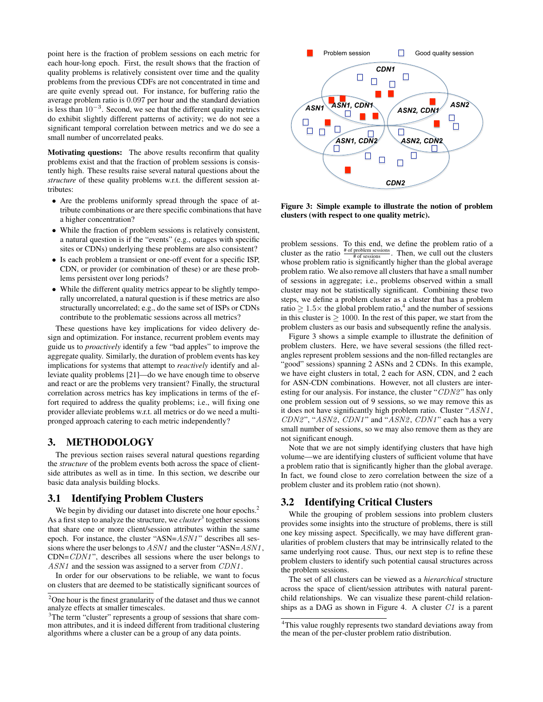point here is the fraction of problem sessions on each metric for each hour-long epoch. First, the result shows that the fraction of quality problems is relatively consistent over time and the quality problems from the previous CDFs are not concentrated in time and are quite evenly spread out. For instance, for buffering ratio the average problem ratio is 0.097 per hour and the standard deviation is less than  $10^{-3}$ . Second, we see that the different quality metrics do exhibit slightly different patterns of activity; we do not see a significant temporal correlation between metrics and we do see a small number of uncorrelated peaks.

Motivating questions: The above results reconfirm that quality problems exist and that the fraction of problem sessions is consistently high. These results raise several natural questions about the *structure* of these quality problems w.r.t. the different session attributes:

- Are the problems uniformly spread through the space of attribute combinations or are there specific combinations that have a higher concentration?
- While the fraction of problem sessions is relatively consistent, a natural question is if the "events" (e.g., outages with specific sites or CDNs) underlying these problems are also consistent?
- Is each problem a transient or one-off event for a specific ISP, CDN, or provider (or combination of these) or are these problems persistent over long periods?
- While the different quality metrics appear to be slightly temporally uncorrelated, a natural question is if these metrics are also structurally uncorrelated; e.g., do the same set of ISPs or CDNs contribute to the problematic sessions across all metrics?

These questions have key implications for video delivery design and optimization. For instance, recurrent problem events may guide us to *proactively* identify a few "bad apples" to improve the aggregate quality. Similarly, the duration of problem events has key implications for systems that attempt to *reactively* identify and alleviate quality problems [21]—do we have enough time to observe and react or are the problems very transient? Finally, the structural correlation across metrics has key implications in terms of the effort required to address the quality problems; i.e., will fixing one provider alleviate problems w.r.t. all metrics or do we need a multipronged approach catering to each metric independently?

#### 3. METHODOLOGY

The previous section raises several natural questions regarding the *structure* of the problem events both across the space of clientside attributes as well as in time. In this section, we describe our basic data analysis building blocks.

#### 3.1 Identifying Problem Clusters

We begin by dividing our dataset into discrete one hour epochs.<sup>2</sup> As a first step to analyze the structure, we *cluster*<sup>3</sup> together sessions that share one or more client/session attributes within the same epoch. For instance, the cluster "ASN= $ASM1$ " describes all sessions where the user belongs to  $ASM1$  and the cluster "ASN= $ASM1$ ,  $CDN=CDM1$ ", describes all sessions where the user belongs to ASN1 and the session was assigned to a server from CDN1.

In order for our observations to be reliable, we want to focus on clusters that are deemed to be statistically significant sources of



Figure 3: Simple example to illustrate the notion of problem clusters (with respect to one quality metric).

problem sessions. To this end, we define the problem ratio of a cluster as the ratio  $\frac{\text{\# of problem sessions}}{\text{\# of sessions}}$ . Then, we cull out the clusters whose problem ratio is significantly higher than the global average problem ratio. We also remove all clusters that have a small number of sessions in aggregate; i.e., problems observed within a small cluster may not be statistically significant. Combining these two steps, we define a problem cluster as a cluster that has a problem ratio  $\geq 1.5 \times$  the global problem ratio,<sup>4</sup> and the number of sessions in this cluster is  $\geq 1000$ . In the rest of this paper, we start from the problem clusters as our basis and subsequently refine the analysis.

Figure 3 shows a simple example to illustrate the definition of problem clusters. Here, we have several sessions (the filled rectangles represent problem sessions and the non-filled rectangles are "good" sessions) spanning 2 ASNs and 2 CDNs. In this example, we have eight clusters in total, 2 each for ASN, CDN, and 2 each for ASN-CDN combinations. However, not all clusters are interesting for our analysis. For instance, the cluster "CDN2" has only one problem session out of 9 sessions, so we may remove this as it does not have significantly high problem ratio. Cluster "ASN1 , CDN2", "ASN2, CDN1" and "ASN2, CDN1" each has a very small number of sessions, so we may also remove them as they are not significant enough.

Note that we are not simply identifying clusters that have high volume—we are identifying clusters of sufficient volume that have a problem ratio that is significantly higher than the global average. In fact, we found close to zero correlation between the size of a problem cluster and its problem ratio (not shown).

## 3.2 Identifying Critical Clusters

While the grouping of problem sessions into problem clusters provides some insights into the structure of problems, there is still one key missing aspect. Specifically, we may have different granularities of problem clusters that may be intrinsically related to the same underlying root cause. Thus, our next step is to refine these problem clusters to identify such potential causal structures across the problem sessions.

The set of all clusters can be viewed as a *hierarchical* structure across the space of client/session attributes with natural parentchild relationships. We can visualize these parent-child relationships as a DAG as shown in Figure 4. A cluster C1 is a parent

<sup>2</sup>One hour is the finest granularity of the dataset and thus we cannot analyze effects at smaller timescales.

<sup>&</sup>lt;sup>3</sup>The term "cluster" represents a group of sessions that share common attributes, and it is indeed different from traditional clustering algorithms where a cluster can be a group of any data points.

<sup>4</sup>This value roughly represents two standard deviations away from the mean of the per-cluster problem ratio distribution.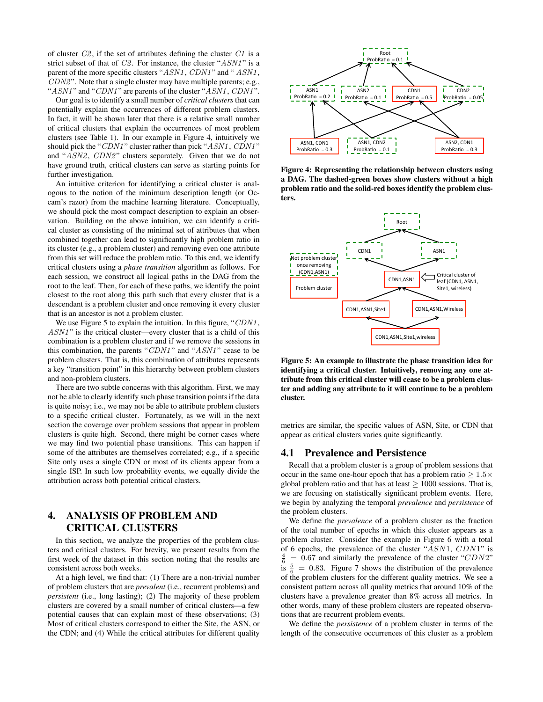of cluster  $C2$ , if the set of attributes defining the cluster  $C1$  is a strict subset of that of  $C2$ . For instance, the cluster " $ASNI$ " is a parent of the more specific clusters "ASN1, CDN1" and "ASN1,  $CDN2$ ". Note that a single cluster may have multiple parents; e.g., " $ASNI$ " and " $CDNI$ " are parents of the cluster " $ASNI$ ,  $CDNI$ ".

Our goal is to identify a small number of *critical clusters* that can potentially explain the occurrences of different problem clusters. In fact, it will be shown later that there is a relative small number of critical clusters that explain the occurrences of most problem clusters (see Table 1). In our example in Figure 4, intuitively we should pick the "CDN1" cluster rather than pick "ASN1, CDN1" and "ASN2, CDN2" clusters separately. Given that we do not have ground truth, critical clusters can serve as starting points for further investigation.

An intuitive criterion for identifying a critical cluster is analogous to the notion of the minimum description length (or Occam's razor) from the machine learning literature. Conceptually, we should pick the most compact description to explain an observation. Building on the above intuition, we can identify a critical cluster as consisting of the minimal set of attributes that when combined together can lead to significantly high problem ratio in its cluster (e.g., a problem cluster) and removing even one attribute from this set will reduce the problem ratio. To this end, we identify critical clusters using a *phase transition* algorithm as follows. For each session, we construct all logical paths in the DAG from the root to the leaf. Then, for each of these paths, we identify the point closest to the root along this path such that every cluster that is a descendant is a problem cluster and once removing it every cluster that is an ancestor is not a problem cluster.

We use Figure 5 to explain the intuition. In this figure, "CDN1,  $ASM1$ " is the critical cluster—every cluster that is a child of this combination is a problem cluster and if we remove the sessions in this combination, the parents " $CDM1$ " and " $ASM1$ " cease to be problem clusters. That is, this combination of attributes represents a key "transition point" in this hierarchy between problem clusters and non-problem clusters.

There are two subtle concerns with this algorithm. First, we may not be able to clearly identify such phase transition points if the data is quite noisy; i.e., we may not be able to attribute problem clusters to a specific critical cluster. Fortunately, as we will in the next section the coverage over problem sessions that appear in problem clusters is quite high. Second, there might be corner cases where we may find two potential phase transitions. This can happen if some of the attributes are themselves correlated; e.g., if a specific Site only uses a single CDN or most of its clients appear from a single ISP. In such low probability events, we equally divide the attribution across both potential critical clusters.

# 4. ANALYSIS OF PROBLEM AND CRITICAL CLUSTERS

In this section, we analyze the properties of the problem clusters and critical clusters. For brevity, we present results from the first week of the dataset in this section noting that the results are consistent across both weeks.

At a high level, we find that: (1) There are a non-trivial number of problem clusters that are *prevalent* (i.e., recurrent problems) and *persistent* (i.e., long lasting); (2) The majority of these problem clusters are covered by a small number of critical clusters—a few potential causes that can explain most of these observations; (3) Most of critical clusters correspond to either the Site, the ASN, or the CDN; and (4) While the critical attributes for different quality



Figure 4: Representing the relationship between clusters using a DAG. The dashed-green boxes show clusters without a high problem ratio and the solid-red boxes identify the problem clusters.



Figure 5: An example to illustrate the phase transition idea for identifying a critical cluster. Intuitively, removing any one attribute from this critical cluster will cease to be a problem cluster and adding any attribute to it will continue to be a problem cluster.

metrics are similar, the specific values of ASN, Site, or CDN that appear as critical clusters varies quite significantly.

#### 4.1 Prevalence and Persistence

Recall that a problem cluster is a group of problem sessions that occur in the same one-hour epoch that has a problem ratio  $> 1.5 \times$ global problem ratio and that has at least  $> 1000$  sessions. That is, we are focusing on statistically significant problem events. Here, we begin by analyzing the temporal *prevalence* and *persistence* of the problem clusters.

We define the *prevalence* of a problem cluster as the fraction of the total number of epochs in which this cluster appears as a problem cluster. Consider the example in Figure 6 with a total of 6 epochs, the prevalence of the cluster "ASN1, CDN1" is  $\frac{4}{6}$  $= 0.67$  and similarly the prevalence of the cluster "CDN2" is  $\frac{5}{6}$  = 0.83. Figure 7 shows the distribution of the prevalence of the problem clusters for the different quality metrics. We see a consistent pattern across all quality metrics that around 10% of the clusters have a prevalence greater than 8% across all metrics. In other words, many of these problem clusters are repeated observations that are recurrent problem events.

We define the *persistence* of a problem cluster in terms of the length of the consecutive occurrences of this cluster as a problem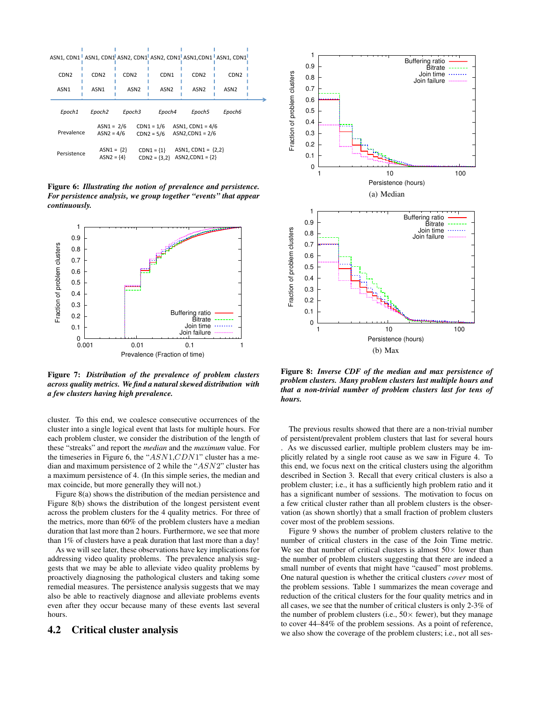|                                                                                                                          |                              |                  |                                |                                           | ASN1, CDN1 <sup>1</sup> ASN1, CDN1 <sup>1</sup> ASN2, CDN1 <sup>1</sup> ASN2, CDN1 <sup>1</sup> ASN1,CDN1 <sup>1</sup> ASN1, CDN1 <sup>1</sup> |
|--------------------------------------------------------------------------------------------------------------------------|------------------------------|------------------|--------------------------------|-------------------------------------------|------------------------------------------------------------------------------------------------------------------------------------------------|
| CDN <sub>2</sub>                                                                                                         | CDN <sub>2</sub>             | CDN <sub>2</sub> | CDN <sub>1</sub>               | CDN <sub>2</sub>                          | CDN <sub>2</sub>                                                                                                                               |
| ASN <sub>1</sub>                                                                                                         | ASN <sub>1</sub>             | ASN <sub>2</sub> | ASN <sub>2</sub>               | ASN <sub>2</sub>                          | ASN <sub>2</sub>                                                                                                                               |
| Epoch1                                                                                                                   | Epoch <sub>2</sub>           | Epoch3           | Epoch4                         | Epoch5                                    | Epoch6                                                                                                                                         |
| ASN1, CDN1 = $4/6$<br>$ASN1 = 2/6$<br>$CDN1 = 1/6$<br>Prevalence<br>$ASN2$ .CDN1 = $2/6$<br>$ASN2 = 4/6$<br>$CDN2 = 5/6$ |                              |                  |                                |                                           |                                                                                                                                                |
| Persistence                                                                                                              | $ASN1 = {2}$<br>$ASN2 = {4}$ |                  | $CDN1 = {1}$<br>$CDN2 = {3,2}$ | $ASN1, CDN1 = {2,2}$<br>$ASN2,CDN1 = {2}$ |                                                                                                                                                |

Figure 6: *Illustrating the notion of prevalence and persistence. For persistence analysis, we group together "events" that appear continuously.*



Figure 7: *Distribution of the prevalence of problem clusters across quality metrics. We find a natural skewed distribution with a few clusters having high prevalence.*

cluster. To this end, we coalesce consecutive occurrences of the cluster into a single logical event that lasts for multiple hours. For each problem cluster, we consider the distribution of the length of these "streaks" and report the *median* and the *maximum* value. For the timeseries in Figure 6, the " $ASN1,CDN1$ " cluster has a median and maximum persistence of 2 while the "ASN2" cluster has a maximum persistence of 4. (In this simple series, the median and max coincide, but more generally they will not.)

Figure 8(a) shows the distribution of the median persistence and Figure 8(b) shows the distribution of the longest persistent event across the problem clusters for the 4 quality metrics. For three of the metrics, more than 60% of the problem clusters have a median duration that last more than 2 hours. Furthermore, we see that more than 1% of clusters have a peak duration that last more than a day!

As we will see later, these observations have key implications for addressing video quality problems. The prevalence analysis suggests that we may be able to alleviate video quality problems by proactively diagnosing the pathological clusters and taking some remedial measures. The persistence analysis suggests that we may also be able to reactively diagnose and alleviate problems events even after they occur because many of these events last several hours.

#### 4.2 Critical cluster analysis



Figure 8: *Inverse CDF of the median and max persistence of problem clusters. Many problem clusters last multiple hours and that a non-trivial number of problem clusters last for tens of hours.*

The previous results showed that there are a non-trivial number of persistent/prevalent problem clusters that last for several hours . As we discussed earlier, multiple problem clusters may be implicitly related by a single root cause as we saw in Figure 4. To this end, we focus next on the critical clusters using the algorithm described in Section 3. Recall that every critical clusters is also a problem cluster; i.e., it has a sufficiently high problem ratio and it has a significant number of sessions. The motivation to focus on a few critical cluster rather than all problem clusters is the observation (as shown shortly) that a small fraction of problem clusters cover most of the problem sessions.

Figure 9 shows the number of problem clusters relative to the number of critical clusters in the case of the Join Time metric. We see that number of critical clusters is almost  $50\times$  lower than the number of problem clusters suggesting that there are indeed a small number of events that might have "caused" most problems. One natural question is whether the critical clusters *cover* most of the problem sessions. Table 1 summarizes the mean coverage and reduction of the critical clusters for the four quality metrics and in all cases, we see that the number of critical clusters is only 2-3% of the number of problem clusters (i.e.,  $50 \times$  fewer), but they manage to cover 44–84% of the problem sessions. As a point of reference, we also show the coverage of the problem clusters; i.e., not all ses-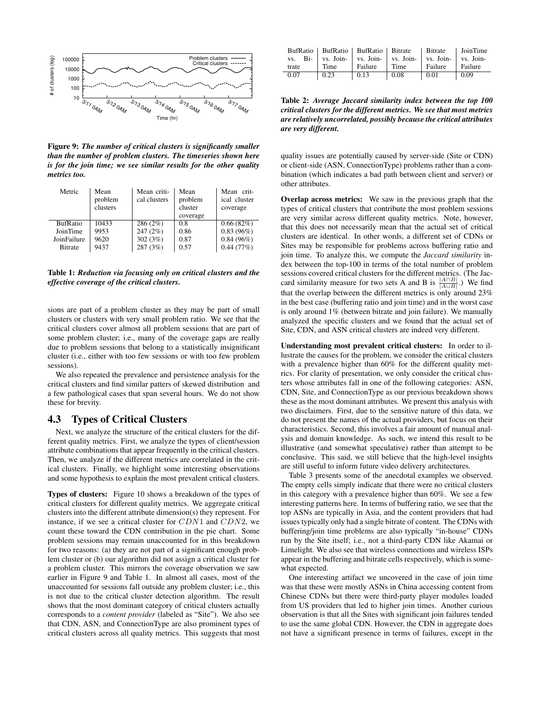

Figure 9: *The number of critical clusters is significantly smaller than the number of problem clusters. The timeseries shown here is for the join time; we see similar results for the other quality metrics too.*

| Metric          | Mean<br>problem<br>clusters | Mean criti-<br>cal clusters | Mean<br>problem<br>cluster<br>coverage | Mean crit-<br>ical cluster<br>coverage |
|-----------------|-----------------------------|-----------------------------|----------------------------------------|----------------------------------------|
| <b>BufRatio</b> | 10433                       | 286(2%)                     | 0.8                                    | 0.66(82%)                              |
| JoinTime        | 9953                        | 247(2%)                     | 0.86                                   | 0.83(96%)                              |
| JoinFailure     | 9620                        | 302(3%)                     | 0.87                                   | $0.84(96\%)$                           |
| <b>Bitrate</b>  | 9437                        | 287 (3%)                    | 0.57                                   | 0.44(77%)                              |

Table 1: *Reduction via focusing only on critical clusters and the effective coverage of the critical clusters.*

sions are part of a problem cluster as they may be part of small clusters or clusters with very small problem ratio. We see that the critical clusters cover almost all problem sessions that are part of some problem cluster; i.e., many of the coverage gaps are really due to problem sessions that belong to a statistically insignificant cluster (i.e., either with too few sessions or with too few problem sessions).

We also repeated the prevalence and persistence analysis for the critical clusters and find similar patters of skewed distribution and a few pathological cases that span several hours. We do not show these for brevity.

#### 4.3 Types of Critical Clusters

Next, we analyze the structure of the critical clusters for the different quality metrics. First, we analyze the types of client/session attribute combinations that appear frequently in the critical clusters. Then, we analyze if the different metrics are correlated in the critical clusters. Finally, we highlight some interesting observations and some hypothesis to explain the most prevalent critical clusters.

Types of clusters: Figure 10 shows a breakdown of the types of critical clusters for different quality metrics. We aggregate critical clusters into the different attribute dimension(s) they represent. For instance, if we see a critical cluster for CDN1 and CDN2, we count these toward the CDN contribution in the pie chart. Some problem sessions may remain unaccounted for in this breakdown for two reasons: (a) they are not part of a significant enough problem cluster or (b) our algorithm did not assign a critical cluster for a problem cluster. This mirrors the coverage observation we saw earlier in Figure 9 and Table 1. In almost all cases, most of the unaccounted for sessions fall outside any problem cluster; i.e., this is not due to the critical cluster detection algorithm. The result shows that the most dominant category of critical clusters actually corresponds to a *content provider* (labeled as "Site"). We also see that CDN, ASN, and ConnectionType are also prominent types of critical clusters across all quality metrics. This suggests that most

|      |       |                     | BufRatio   BufRatio   BufRatio   Bitrate   Bitrate   JoinTime                                                                                                                                                                                                                      |               |                    |
|------|-------|---------------------|------------------------------------------------------------------------------------------------------------------------------------------------------------------------------------------------------------------------------------------------------------------------------------|---------------|--------------------|
|      |       |                     | vs. Bi-<br>Time<br>Time<br>Failure<br>Failure<br>Time<br>Failure<br>Failure<br>Failure<br>Failure<br>Failure<br>Failure<br>Time<br>Failure<br>Failure<br>Failure<br>Failure<br>Failure<br>Failure<br>Failure<br>Failure<br>Failure<br>Failure<br>Failure<br>Failure<br>Failure<br> |               |                    |
| 0.07 | 10.23 | $\mid 0.13 \rangle$ | $\vert$ 0.08                                                                                                                                                                                                                                                                       | $\sqrt{0.01}$ | $\vert 0.09 \vert$ |

Table 2: *Average Jaccard similarity index between the top 100 critical clusters for the different metrics. We see that most metrics are relatively uncorrelated, possibly because the critical attributes are very different.*

quality issues are potentially caused by server-side (Site or CDN) or client-side (ASN, ConnectionType) problems rather than a combination (which indicates a bad path between client and server) or other attributes.

Overlap across metrics: We saw in the previous graph that the types of critical clusters that contribute the most problem sessions are very similar across different quality metrics. Note, however, that this does not necessarily mean that the actual set of critical clusters are identical. In other words, a different set of CDNs or Sites may be responsible for problems across buffering ratio and join time. To analyze this, we compute the *Jaccard similarity* index between the top-100 in terms of the total number of problem sessions covered critical clusters for the different metrics. (The Jaccard similarity measure for two sets A and B is  $\frac{|A \cap B|}{|A \cup B|}$ .) We find that the overlap between the different metrics is only around 23% in the best case (buffering ratio and join time) and in the worst case is only around 1% (between bitrate and join failure). We manually analyzed the specific clusters and we found that the actual set of Site, CDN, and ASN critical clusters are indeed very different.

Understanding most prevalent critical clusters: In order to illustrate the causes for the problem, we consider the critical clusters with a prevalence higher than 60% for the different quality metrics. For clarity of presentation, we only consider the critical clusters whose attributes fall in one of the following categories: ASN, CDN, Site, and ConnectionType as our previous breakdown shows these as the most dominant attributes. We present this analysis with two disclaimers. First, due to the sensitive nature of this data, we do not present the names of the actual providers, but focus on their characteristics. Second, this involves a fair amount of manual analysis and domain knowledge. As such, we intend this result to be illustrative (and somewhat speculative) rather than attempt to be conclusive. This said, we still believe that the high-level insights are still useful to inform future video delivery architectures.

Table 3 presents some of the anecdotal examples we observed. The empty cells simply indicate that there were no critical clusters in this category with a prevalence higher than 60%. We see a few interesting patterns here. In terms of buffering ratio, we see that the top ASNs are typically in Asia, and the content providers that had issues typically only had a single bitrate of content. The CDNs with buffering/join time problems are also typically "in-house" CDNs run by the Site itself; i.e., not a third-party CDN like Akamai or Limelight. We also see that wireless connections and wireless ISPs appear in the buffering and bitrate cells respectively, which is somewhat expected.

One interesting artifact we uncovered in the case of join time was that these were mostly ASNs in China accessing content from Chinese CDNs but there were third-party player modules loaded from US providers that led to higher join times. Another curious observation is that all the Sites with significant join failures tended to use the same global CDN. However, the CDN in aggregate does not have a significant presence in terms of failures, except in the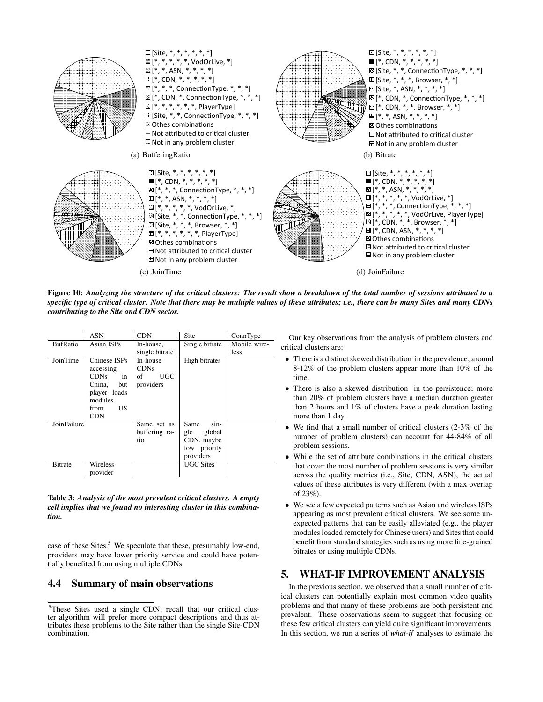

Figure 10: *Analyzing the structure of the critical clusters: The result show a breakdown of the total number of sessions attributed to a specific type of critical cluster. Note that there may be multiple values of these attributes; i.e., there can be many Sites and many CDNs contributing to the Site and CDN sector.*

|                 | ASN               | <b>CDN</b>       | <b>Site</b>      | ConnType     |
|-----------------|-------------------|------------------|------------------|--------------|
| <b>BufRatio</b> | <b>Asian ISPs</b> | In-house,        | Single bitrate   | Mobile wire- |
|                 |                   | single bitrate   |                  | less         |
| JoinTime        | Chinese ISPs      | In-house         | High bitrates    |              |
|                 | accessing         | <b>CDNs</b>      |                  |              |
|                 | CDNs -<br>in      | <b>UGC</b><br>of |                  |              |
|                 | China,<br>but     | providers        |                  |              |
|                 | player loads      |                  |                  |              |
|                 | modules           |                  |                  |              |
|                 | US.<br>from       |                  |                  |              |
|                 | <b>CDN</b>        |                  |                  |              |
| JoinFailure     |                   | Same set as      | Same<br>$sin-$   |              |
|                 |                   | buffering ra-    | global<br>gle    |              |
|                 |                   | tio              | CDN, maybe       |              |
|                 |                   |                  | low priority     |              |
|                 |                   |                  | providers        |              |
| <b>Bitrate</b>  | Wireless          |                  | <b>UGC Sites</b> |              |
|                 | provider          |                  |                  |              |

Table 3: *Analysis of the most prevalent critical clusters. A empty cell implies that we found no interesting cluster in this combination.*

case of these Sites.<sup>5</sup> We speculate that these, presumably low-end, providers may have lower priority service and could have potentially benefited from using multiple CDNs.

#### 4.4 Summary of main observations

Our key observations from the analysis of problem clusters and critical clusters are:

- There is a distinct skewed distribution in the prevalence; around 8-12% of the problem clusters appear more than 10% of the time.
- There is also a skewed distribution in the persistence; more than 20% of problem clusters have a median duration greater than 2 hours and 1% of clusters have a peak duration lasting more than 1 day.
- We find that a small number of critical clusters  $(2-3\%$  of the number of problem clusters) can account for 44-84% of all problem sessions.
- While the set of attribute combinations in the critical clusters that cover the most number of problem sessions is very similar across the quality metrics (i.e., Site, CDN, ASN), the actual values of these attributes is very different (with a max overlap of 23%).
- We see a few expected patterns such as Asian and wireless ISPs appearing as most prevalent critical clusters. We see some unexpected patterns that can be easily alleviated (e.g., the player modules loaded remotely for Chinese users) and Sites that could benefit from standard strategies such as using more fine-grained bitrates or using multiple CDNs.

#### 5. WHAT-IF IMPROVEMENT ANALYSIS

In the previous section, we observed that a small number of critical clusters can potentially explain most common video quality problems and that many of these problems are both persistent and prevalent. These observations seem to suggest that focusing on these few critical clusters can yield quite significant improvements. In this section, we run a series of *what-if* analyses to estimate the

<sup>5</sup>These Sites used a single CDN; recall that our critical cluster algorithm will prefer more compact descriptions and thus attributes these problems to the Site rather than the single Site-CDN combination.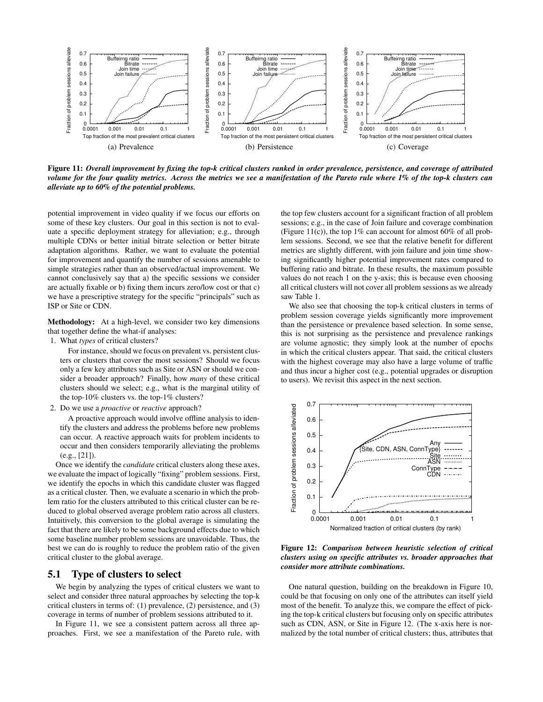

Figure 11: *Overall improvement by fixing the top-k critical clusters ranked in order prevalence, persistence, and coverage of attributed volume for the four quality metrics. Across the metrics we see a manifestation of the Pareto rule where 1% of the top-k clusters can alleviate up to 60% of the potential problems.*

potential improvement in video quality if we focus our efforts on some of these key clusters. Our goal in this section is not to evaluate a specific deployment strategy for alleviation; e.g., through multiple CDNs or better initial bitrate selection or better bitrate adaptation algorithms. Rather, we want to evaluate the potential for improvement and quantify the number of sessions amenable to simple strategies rather than an observed/actual improvement. We cannot conclusively say that a) the specific sessions we consider are actually fixable or b) fixing them incurs zero/low cost or that c) we have a prescriptive strategy for the specific "principals" such as ISP or Site or CDN.

Methodology: At a high-level, we consider two key dimensions that together define the what-if analyses:

1. What *types* of critical clusters?

For instance, should we focus on prevalent vs. persistent clusters or clusters that cover the most sessions? Should we focus only a few key attributes such as Site or ASN or should we consider a broader approach? Finally, how *many* of these critical clusters should we select; e.g., what is the marginal utility of the top-10% clusters vs. the top-1% clusters?

2. Do we use a *proactive* or *reactive* approach?

A proactive approach would involve offline analysis to identify the clusters and address the problems before new problems can occur. A reactive approach waits for problem incidents to occur and then considers temporarily alleviating the problems (e.g., [21]).

Once we identify the *candidate* critical clusters along these axes, we evaluate the impact of logically "fixing" problem sessions. First, we identify the epochs in which this candidate cluster was flagged as a critical cluster. Then, we evaluate a scenario in which the problem ratio for the clusters attributed to this critical cluster can be reduced to global observed average problem ratio across all clusters. Intuitively, this conversion to the global average is simulating the fact that there are likely to be some background effects due to which some baseline number problem sessions are unavoidable. Thus, the best we can do is roughly to reduce the problem ratio of the given critical cluster to the global average.

#### 5.1 Type of clusters to select

We begin by analyzing the types of critical clusters we want to select and consider three natural approaches by selecting the top-k critical clusters in terms of: (1) prevalence, (2) persistence, and (3) coverage in terms of number of problem sessions attributed to it.

In Figure 11, we see a consistent pattern across all three approaches. First, we see a manifestation of the Pareto rule, with the top few clusters account for a significant fraction of all problem sessions; e.g., in the case of Join failure and coverage combination (Figure 11(c)), the top 1% can account for almost  $60\%$  of all problem sessions. Second, we see that the relative benefit for different metrics are slightly different, with join failure and join time showing significantly higher potential improvement rates compared to buffering ratio and bitrate. In these results, the maximum possible values do not reach 1 on the y-axis; this is because even choosing all critical clusters will not cover all problem sessions as we already saw Table 1.

We also see that choosing the top-k critical clusters in terms of problem session coverage yields significantly more improvement than the persistence or prevalence based selection. In some sense, this is not surprising as the persistence and prevalence rankings are volume agnostic; they simply look at the number of epochs in which the critical clusters appear. That said, the critical clusters with the highest coverage may also have a large volume of traffic and thus incur a higher cost (e.g., potential upgrades or disruption to users). We revisit this aspect in the next section.



Figure 12: *Comparison between heuristic selection of critical clusters using on specific attributes vs. broader approaches that consider more attribute combinations.*

One natural question, building on the breakdown in Figure 10, could be that focusing on only one of the attributes can itself yield most of the benefit. To analyze this, we compare the effect of picking the top-k critical clusters but focusing only on specific attributes such as CDN, ASN, or Site in Figure 12. (The x-axis here is normalized by the total number of critical clusters; thus, attributes that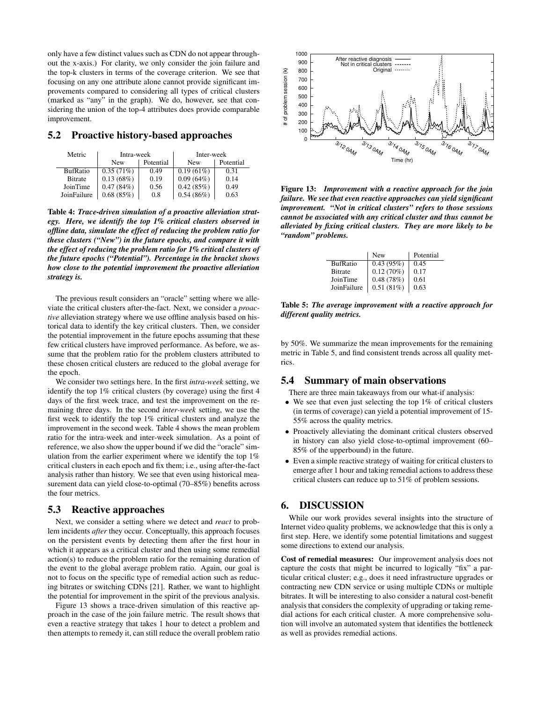only have a few distinct values such as CDN do not appear throughout the x-axis.) For clarity, we only consider the join failure and the top-k clusters in terms of the coverage criterion. We see that focusing on any one attribute alone cannot provide significant improvements compared to considering all types of critical clusters (marked as "any" in the graph). We do, however, see that considering the union of the top-4 attributes does provide comparable improvement.

#### 5.2 Proactive history-based approaches

| Metric          | Intra-week |           | Inter-week   |           |
|-----------------|------------|-----------|--------------|-----------|
|                 | <b>New</b> | Potential | <b>New</b>   | Potential |
| <b>BufRatio</b> | 0.35(71%)  | 0.49      | $0.19(61\%)$ | 0.31      |
| <b>Bitrate</b>  | 0.13(68%)  | 0.19      | 0.09(64%)    | 0.14      |
| JoinTime        | 0.47(84%)  | 0.56      | 0.42(85%)    | 0.49      |
| JoinFailure     | 0.68(85%)  | 0.8       | 0.54(86%)    | 0.63      |

Table 4: *Trace-driven simulation of a proactive alleviation strategy. Here, we identify the top 1% critical clusters observed in offline data, simulate the effect of reducing the problem ratio for these clusters ("New") in the future epochs, and compare it with the effect of reducing the problem ratio for 1% critical clusters of the future epochs ("Potential"). Percentage in the bracket shows how close to the potential improvement the proactive alleviation strategy is.*

The previous result considers an "oracle" setting where we alleviate the critical clusters after-the-fact. Next, we consider a *proactive* alleviation strategy where we use offline analysis based on historical data to identify the key critical clusters. Then, we consider the potential improvement in the future epochs assuming that these few critical clusters have improved performance. As before, we assume that the problem ratio for the problem clusters attributed to these chosen critical clusters are reduced to the global average for the epoch.

We consider two settings here. In the first *intra-week* setting, we identify the top 1% critical clusters (by coverage) using the first 4 days of the first week trace, and test the improvement on the remaining three days. In the second *inter-week* setting, we use the first week to identify the top 1% critical clusters and analyze the improvement in the second week. Table 4 shows the mean problem ratio for the intra-week and inter-week simulation. As a point of reference, we also show the upper bound if we did the "oracle" simulation from the earlier experiment where we identify the top 1% critical clusters in each epoch and fix them; i.e., using after-the-fact analysis rather than history. We see that even using historical measurement data can yield close-to-optimal (70–85%) benefits across the four metrics.

#### 5.3 Reactive approaches

Next, we consider a setting where we detect and *react* to problem incidents *after* they occur. Conceptually, this approach focuses on the persistent events by detecting them after the first hour in which it appears as a critical cluster and then using some remedial action(s) to reduce the problem ratio for the remaining duration of the event to the global average problem ratio. Again, our goal is not to focus on the specific type of remedial action such as reducing bitrates or switching CDNs [21]. Rather, we want to highlight the potential for improvement in the spirit of the previous analysis.

Figure 13 shows a trace-driven simulation of this reactive approach in the case of the join failure metric. The result shows that even a reactive strategy that takes 1 hour to detect a problem and then attempts to remedy it, can still reduce the overall problem ratio



Figure 13: *Improvement with a reactive approach for the join failure. We see that even reactive approaches can yield significant improvement. "Not in critical clusters" refers to those sessions cannot be associated with any critical cluster and thus cannot be alleviated by fixing critical clusters. They are more likely to be "random" problems.*

|                 | <b>New</b>                                                      | Potential |
|-----------------|-----------------------------------------------------------------|-----------|
| <b>BufRatio</b> |                                                                 | 0.45      |
| <b>Bitrate</b>  | $\begin{array}{c} 0.43 \; (95\%) \\ 0.12 \; (70\%) \end{array}$ | 0.17      |
| JoinTime        | 0.48(78%)                                                       | 0.61      |
| JoinFailure     | 0.51(81%)                                                       | 0.63      |

Table 5: *The average improvement with a reactive approach for different quality metrics.*

by 50%. We summarize the mean improvements for the remaining metric in Table 5, and find consistent trends across all quality metrics.

## 5.4 Summary of main observations

There are three main takeaways from our what-if analysis:

- We see that even just selecting the top  $1\%$  of critical clusters (in terms of coverage) can yield a potential improvement of 15- 55% across the quality metrics.
- Proactively alleviating the dominant critical clusters observed in history can also yield close-to-optimal improvement (60– 85% of the upperbound) in the future.
- Even a simple reactive strategy of waiting for critical clusters to emerge after 1 hour and taking remedial actions to address these critical clusters can reduce up to 51% of problem sessions.

#### 6. DISCUSSION

While our work provides several insights into the structure of Internet video quality problems, we acknowledge that this is only a first step. Here, we identify some potential limitations and suggest some directions to extend our analysis.

Cost of remedial measures: Our improvement analysis does not capture the costs that might be incurred to logically "fix" a particular critical cluster; e.g., does it need infrastructure upgrades or contracting new CDN service or using multiple CDNs or multiple bitrates. It will be interesting to also consider a natural cost-benefit analysis that considers the complexity of upgrading or taking remedial actions for each critical cluster. A more comprehensive solution will involve an automated system that identifies the bottleneck as well as provides remedial actions.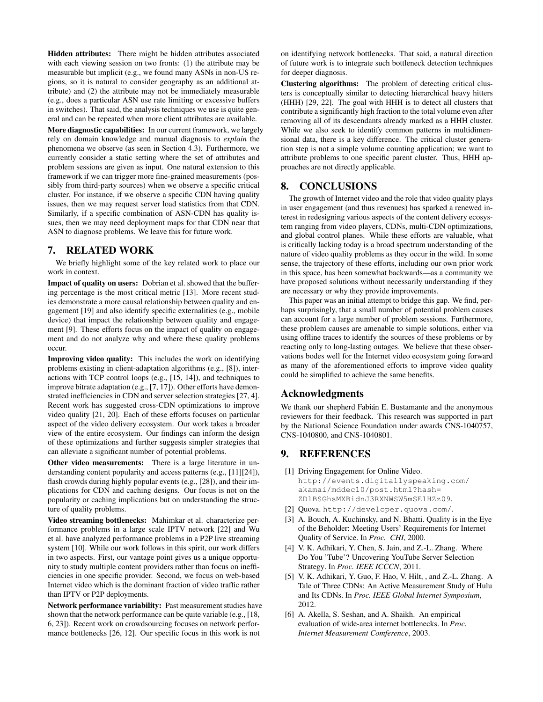Hidden attributes: There might be hidden attributes associated with each viewing session on two fronts: (1) the attribute may be measurable but implicit (e.g., we found many ASNs in non-US regions, so it is natural to consider geography as an additional attribute) and (2) the attribute may not be immediately measurable (e.g., does a particular ASN use rate limiting or excessive buffers in switches). That said, the analysis techniques we use is quite general and can be repeated when more client attributes are available.

More diagnostic capabilities: In our current framework, we largely rely on domain knowledge and manual diagnosis to *explain* the phenomena we observe (as seen in Section 4.3). Furthermore, we currently consider a static setting where the set of attributes and problem sessions are given as input. One natural extension to this framework if we can trigger more fine-grained measurements (possibly from third-party sources) when we observe a specific critical cluster. For instance, if we observe a specific CDN having quality issues, then we may request server load statistics from that CDN. Similarly, if a specific combination of ASN-CDN has quality issues, then we may need deployment maps for that CDN near that ASN to diagnose problems. We leave this for future work.

#### 7. RELATED WORK

We briefly highlight some of the key related work to place our work in context.

Impact of quality on users: Dobrian et al. showed that the buffering percentage is the most critical metric [13]. More recent studies demonstrate a more causal relationship between quality and engagement [19] and also identify specific externalities (e.g., mobile device) that impact the relationship between quality and engagement [9]. These efforts focus on the impact of quality on engagement and do not analyze why and where these quality problems occur.

Improving video quality: This includes the work on identifying problems existing in client-adaptation algorithms (e.g., [8]), interactions with TCP control loops (e.g., [15, 14]), and techniques to improve bitrate adaptation (e.g., [7, 17]). Other efforts have demonstrated inefficiencies in CDN and server selection strategies [27, 4]. Recent work has suggested cross-CDN optimizations to improve video quality [21, 20]. Each of these efforts focuses on particular aspect of the video delivery ecosystem. Our work takes a broader view of the entire ecosystem. Our findings can inform the design of these optimizations and further suggests simpler strategies that can alleviate a significant number of potential problems.

Other video measurements: There is a large literature in understanding content popularity and access patterns (e.g., [11][24]), flash crowds during highly popular events (e.g., [28]), and their implications for CDN and caching designs. Our focus is not on the popularity or caching implications but on understanding the structure of quality problems.

Video streaming bottlenecks: Mahimkar et al. characterize performance problems in a large scale IPTV network [22] and Wu et al. have analyzed performance problems in a P2P live streaming system [10]. While our work follows in this spirit, our work differs in two aspects. First, our vantage point gives us a unique opportunity to study multiple content providers rather than focus on inefficiencies in one specific provider. Second, we focus on web-based Internet video which is the dominant fraction of video traffic rather than IPTV or P2P deployments.

Network performance variability: Past measurement studies have shown that the network performance can be quite variable (e.g., [18, 6, 23]). Recent work on crowdsourcing focuses on network performance bottlenecks [26, 12]. Our specific focus in this work is not

on identifying network bottlenecks. That said, a natural direction of future work is to integrate such bottleneck detection techniques for deeper diagnosis.

Clustering algorithms: The problem of detecting critical clusters is conceptually similar to detecting hierarchical heavy hitters (HHH) [29, 22]. The goal with HHH is to detect all clusters that contribute a significantly high fraction to the total volume even after removing all of its descendants already marked as a HHH cluster. While we also seek to identify common patterns in multidimensional data, there is a key difference. The critical cluster generation step is not a simple volume counting application; we want to attribute problems to one specific parent cluster. Thus, HHH approaches are not directly applicable.

## 8. CONCLUSIONS

The growth of Internet video and the role that video quality plays in user engagement (and thus revenues) has sparked a renewed interest in redesigning various aspects of the content delivery ecosystem ranging from video players, CDNs, multi-CDN optimizations, and global control planes. While these efforts are valuable, what is critically lacking today is a broad spectrum understanding of the nature of video quality problems as they occur in the wild. In some sense, the trajectory of these efforts, including our own prior work in this space, has been somewhat backwards—as a community we have proposed solutions without necessarily understanding if they are necessary or why they provide improvements.

This paper was an initial attempt to bridge this gap. We find, perhaps surprisingly, that a small number of potential problem causes can account for a large number of problem sessions. Furthermore, these problem causes are amenable to simple solutions, either via using offline traces to identify the sources of these problems or by reacting only to long-lasting outages. We believe that these observations bodes well for the Internet video ecosystem going forward as many of the aforementioned efforts to improve video quality could be simplified to achieve the same benefits.

## Acknowledgments

We thank our shepherd Fabián E. Bustamante and the anonymous reviewers for their feedback. This research was supported in part by the National Science Foundation under awards CNS-1040757, CNS-1040800, and CNS-1040801.

## 9. REFERENCES

- [1] Driving Engagement for Online Video. http://events.digitallyspeaking.com/ akamai/mddec10/post.html?hash= ZDlBSGhsMXBidnJ3RXNWSW5mSE1HZz09.
- [2] Quova. http://developer.quova.com/.
- [3] A. Bouch, A. Kuchinsky, and N. Bhatti. Quality is in the Eye of the Beholder: Meeting Users' Requirements for Internet Quality of Service. In *Proc. CHI*, 2000.
- [4] V. K. Adhikari, Y. Chen, S. Jain, and Z.-L. Zhang. Where Do You 'Tube'? Uncovering YouTube Server Selection Strategy. In *Proc. IEEE ICCCN*, 2011.
- [5] V. K. Adhikari, Y. Guo, F. Hao, V. Hilt, , and Z.-L. Zhang. A Tale of Three CDNs: An Active Measurement Study of Hulu and Its CDNs. In *Proc. IEEE Global Internet Symposium*, 2012.
- [6] A. Akella, S. Seshan, and A. Shaikh. An empirical evaluation of wide-area internet bottlenecks. In *Proc. Internet Measurement Comference*, 2003.